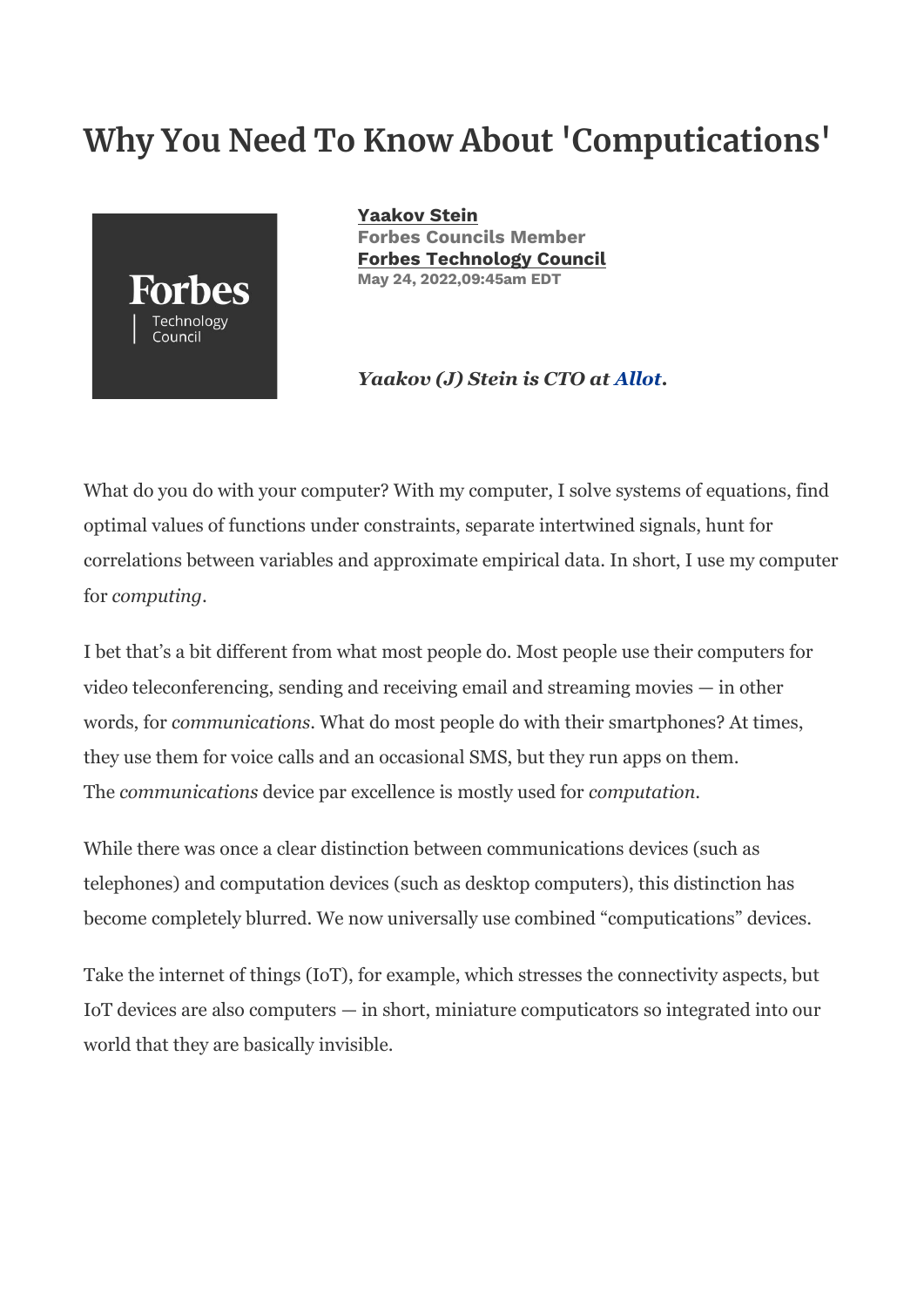# **Why You Need To Know About 'Computications'**



**[Yaakov Stein](https://www.forbes.com/sites/forbestechcouncil/people/yaakovstein/) Forbes Councils Member [Forbes Technology Council](https://www.forbes.com/sites/forbestechcouncil/) May 24, 2022,09:45am EDT**

#### *Yaakov (J) Stein is CTO at [Allot](https://www.allot.com/)***.**

What do you do with your computer? With my computer, I solve systems of equations, find optimal values of functions under constraints, separate intertwined signals, hunt for correlations between variables and approximate empirical data. In short, I use my computer for *computing*.

I bet that's a bit different from what most people do. Most people use their computers for video teleconferencing, sending and receiving email and streaming movies — in other words, for *communications*. What do most people do with their smartphones? At times, they use them for voice calls and an occasional SMS, but they run apps on them. The *communications* device par excellence is mostly used for *computation*.

While there was once a clear distinction between communications devices (such as telephones) and computation devices (such as desktop computers), this distinction has become completely blurred. We now universally use combined "computications" devices.

Take the internet of things (IoT), for example, which stresses the connectivity aspects, but IoT devices are also computers — in short, miniature computicators so integrated into our world that they are basically invisible.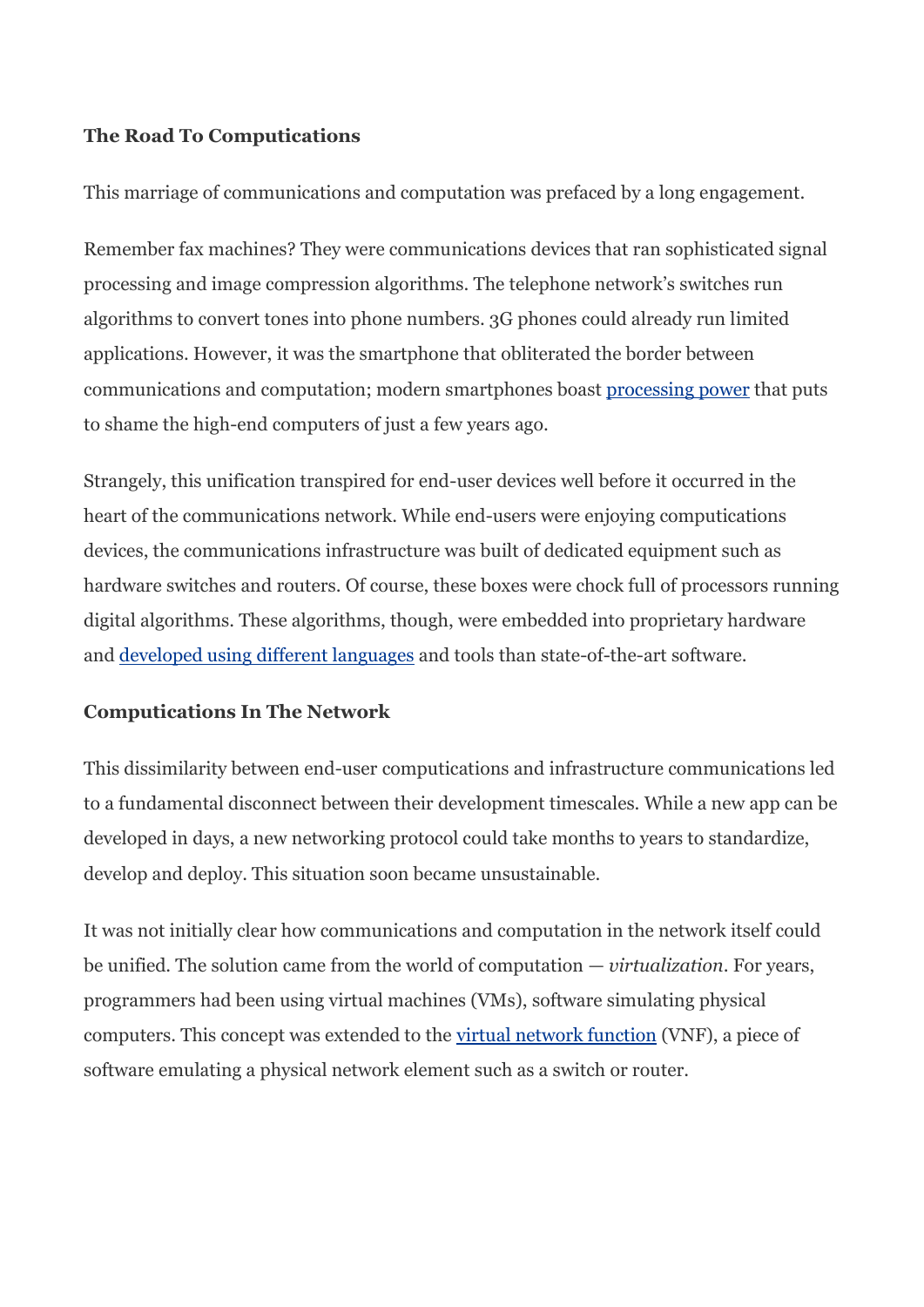## **The Road To Computications**

This marriage of communications and computation was prefaced by a long engagement.

Remember fax machines? They were communications devices that ran sophisticated signal processing and image compression algorithms. The telephone network's switches run algorithms to convert tones into phone numbers. 3G phones could already run limited applications. However, it was the smartphone that obliterated the border between communications and computation; modern smartphones boast [processing power](https://insights.samsung.com/2021/08/19/your-phone-is-now-more-powerful-than-your-PC-3/) that puts to shame the high-end computers of just a few years ago.

Strangely, this unification transpired for end-user devices well before it occurred in the heart of the communications network. While end-users were enjoying computications devices, the communications infrastructure was built of dedicated equipment such as hardware switches and routers. Of course, these boxes were chock full of processors running digital algorithms. These algorithms, though, were embedded into proprietary hardware and [developed using different languages](https://spectrum.ieee.org/TOP-PROGRAMMING-LANGUAGES/) and tools than state-of-the-art software.

## **Computications In The Network**

This dissimilarity between end-user computications and infrastructure communications led to a fundamental disconnect between their development timescales. While a new app can be developed in days, a new networking protocol could take months to years to standardize, develop and deploy. This situation soon became unsustainable.

It was not initially clear how communications and computation in the network itself could be unified. The solution came from the world of computation — *virtualization*. For years, programmers had been using virtual machines (VMs), software simulating physical computers. This concept was extended to the [virtual network function](https://www.sdxcentral.com/networking/nfv/definitions/virtual-network-function/) (VNF), a piece of software emulating a physical network element such as a switch or router.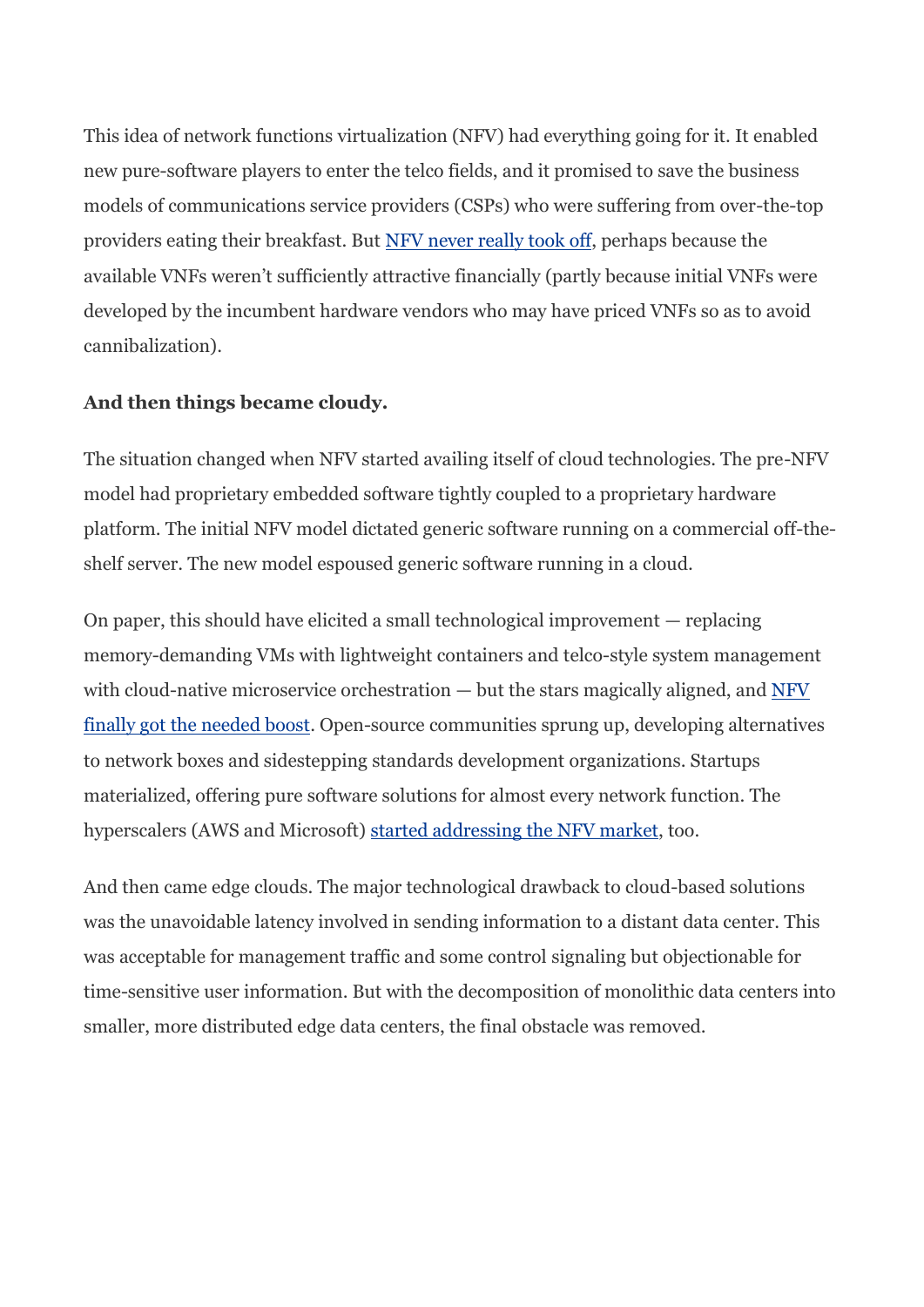This idea of network functions virtualization (NFV) had everything going for it. It enabled new pure-software players to enter the telco fields, and it promised to save the business models of communications service providers (CSPs) who were suffering from over-the-top providers eating their breakfast. But [NFV never really took off,](https://blog.cimicorp.com/?P=3233) perhaps because the available VNFs weren't sufficiently attractive financially (partly because initial VNFs were developed by the incumbent hardware vendors who may have priced VNFs so as to avoid cannibalization).

#### **And then things became cloudy.**

The situation changed when NFV started availing itself of cloud technologies. The pre-NFV model had proprietary embedded software tightly coupled to a proprietary hardware platform. The initial NFV model dictated generic software running on a commercial off-theshelf server. The new model espoused generic software running in a cloud.

On paper, this should have elicited a small technological improvement — replacing memory-demanding VMs with lightweight containers and telco-style system management with cloud-native microservice orchestration  $-$  but the stars magically aligned, and  $NFY$ [finally got the needed boost.](https://blog.cimicorp.com/?P=4916) Open-source communities sprung up, developing alternatives to network boxes and sidestepping standards development organizations. Startups materialized, offering pure software solutions for almost every network function. The hyperscalers (AWS and Microsoft) [started addressing the NFV market,](https://www.rcrwireless.com/20220314/TELCO-CLOUD/HYPERSCALERS-TELECOM-PARTNERS-THREATS-MODELS-OR-ALL-THREE) too.

And then came edge clouds. The major technological drawback to cloud-based solutions was the unavoidable latency involved in sending information to a distant data center. This was acceptable for management traffic and some control signaling but objectionable for time-sensitive user information. But with the decomposition of monolithic data centers into smaller, more distributed edge data centers, the final obstacle was removed.